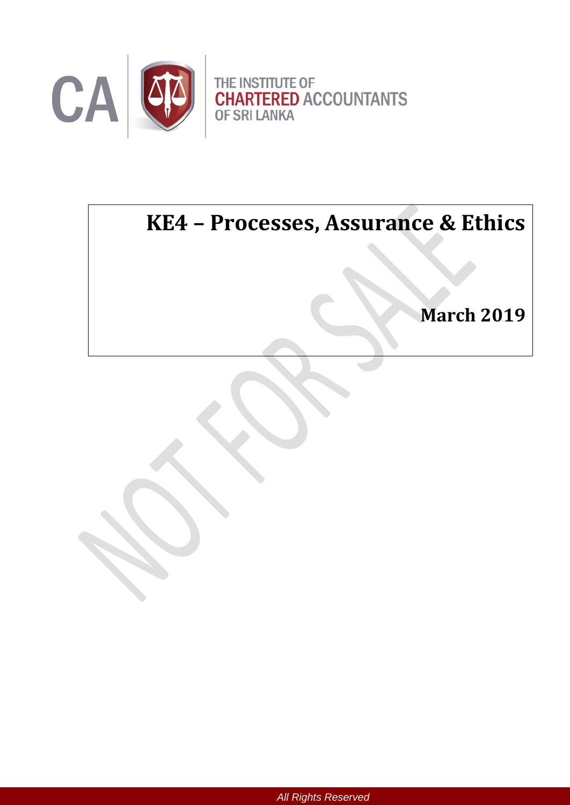

# **KE4 – Processes, Assurance & Ethics**

Ĩ,

**March 2019**

*All Rights Reserved*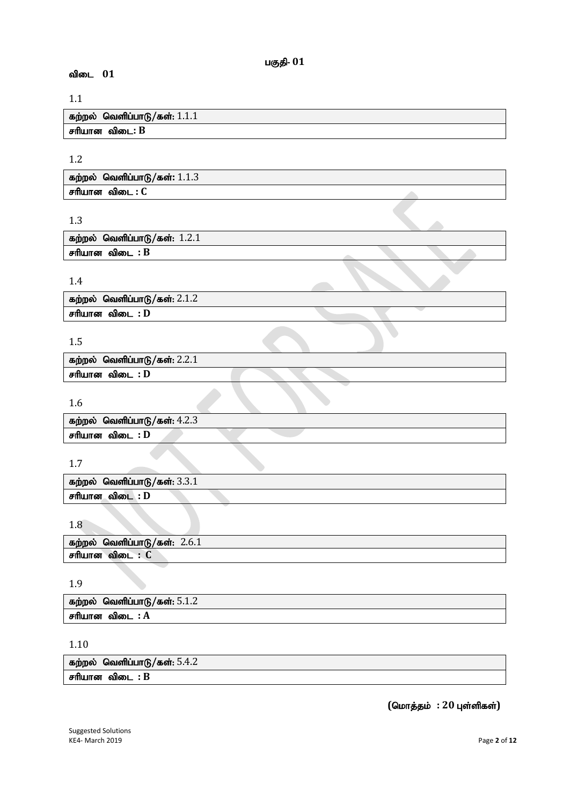# 1.1

விடை 01

| கற்றல் வெளிப்பாடு/கள்: $1.1.1$ |
|--------------------------------|
| சரியான விடை: B                 |

## 1.2

| ் வெளிப்பாடு/கள்: $1.1.3$<br>கற்றல் |  |
|-------------------------------------|--|
| சரியான<br>் விடை : (                |  |

பகுதி-  $01$ 

# 1.3

| கற்றல் வெளிப்பாடு/கள் $: 1.2.1$ |  |  |
|---------------------------------|--|--|
| சரியான விடை : B                 |  |  |
|                                 |  |  |

# 1.4

| கற்றல் வெளிப்பாடு/கள்: $2.1.2$ |  |
|--------------------------------|--|
| சரியான விடை : D                |  |

# 1.5

| கற்றல் வெளிப்பாடு/கள்: $2.2.1$ |  |
|--------------------------------|--|
| சரியான விடை : D                |  |
|                                |  |

1.6

|                 | கற்றல் வெளிப்பாடு/கள் $: 4.2.3$ |  |  |
|-----------------|---------------------------------|--|--|
| சரியான விடை : D |                                 |  |  |

# 1.7

| கற்றல் வெளிப்பாடு/கள்: $3.3.1$ |  |
|--------------------------------|--|
| சரியான_ விடை : D               |  |

### 1.8

| கற்றல்      | ) வெளிப்பாடு/கள்: 2.6.1 |
|-------------|-------------------------|
| சரியான விடை |                         |

# 1.9

| கற்றல் வெளிப்பாடு/கள் $: 5.1.2$ |  |
|---------------------------------|--|
| சரியான விடை<br>— : А            |  |

# 1.10

| கற்றல் வெளிப்பாடு/கள் $: 5.4.2$ |  |
|---------------------------------|--|
| சரியான விடை : B                 |  |

 $($ மொத்தம் : 20 புள்ளிகள்)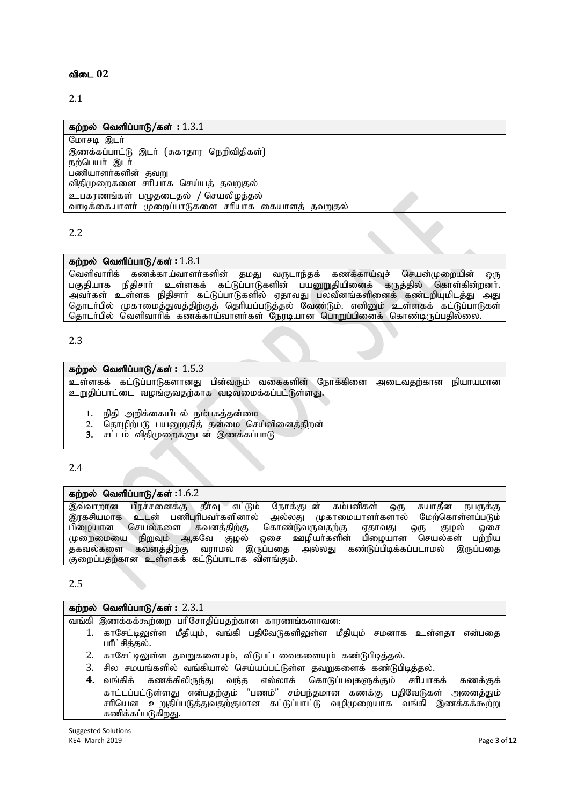#### விடை 02

2.1

#### கற்றல் வெளிப்பாடு/கள் : 1.3.1

 $G$ மாசடி இடர் இணக்கப்பாட்டு இடர் (சுகாதார நெறிவிதிகள்) நற்பெயர் இடர் பணியாளர்களின் தவறு விதிமுறைகளை சரியாக செய்யத் தவறுதல் உபகாணங்கள் பமுகடைகல் / செயலிமக்கல் வாடிக்கையாளர் முறைப்பாடுகளை சரியாக கையாளத் தவறுதல்

2.2

#### கற்றல் வெளிப்பாடு/கள் : 1.8.1

வெளிவாரிக் கணக்காய்வாளர்களின் தமது வருடாந்தக் கணக்காய்வுச் செயன்முறையின் ஒரு பகுதியாக நிதிசார் உள்ளகக் கட்டுப்பாடுகளின் பயனுறுதியினைக் கருத்தில் கொள்கின்றனர். அவர்கள் உள்ளக நிதிசார் கட்டுப்பாடுகளில் ஏதாவது பலவீனங்களினைக் கண்டறியுமிடத்து அது தொடா்பில் முகாமைத்துவத்திற்குத் தொியப்படுத்தல் வேண்டும். எனினும் உள்ளகக் கட்டுப்பாடுகள் தொடர்பில் வெளிவாரிக் கணக்காய்வாளர்கள் நேரடியான பொறுப்பினைக் கொண்டிருப்பதில்லை.

2.3

#### **கற்றல் வெளிப்பாடு/கள்: 1.5.3**

உள்ளகக் கட்டுப்பாடுகளானது பின்வரும் வகைகளின் நோக்கினை அடைவதற்கான நியாயமான உறுதிப்பாட்டை வழங்குவதற்காக வடிவமைக்கப்பட்டுள்ளது.

- 1. நிதி அறிக்கையிடல் நம்பகத்தன்மை
- 2. தொழிற்படு பயனுறுதித் தன்மை செய்வினைத்திறன்
- 3. சட்டம் விதிமுறைகளுடன் இணக்கப்பாடு

2.4

#### **கற்றல் வெளிப்பாடு/கள்: 1.6.2**

இவ்வாறான பிரச்சனைக்கு தீர்வு எட்டும் நோக்குடன் கம்பனிகள் ஒரு சுயாதீன நபருக்கு<br>இரகசியமாக உடன் பணிபுரிபவர்களினால் அல்லது முகாமையாளர்களால் மேற்கொள்ளப்படும் இரகசியமாக உடன் பணிபுரிபவர்களினால் அல்லது முகாமையாளர்களால் மேற்கொள்ளப்படும்<br>பிழையான செயல்களை கவனத்திற்கு கொண்டுவருவதற்கு ஏதாவது ஒரு குழல் ஓசை ்செயல்களை கவனத்திற்கு கொண்டுவருவதற்கு ஏதாவது ஒரு குழல் ஓசை<br>ப நிறுவும் ஆகவே குழல் ஓசை ஊழியர்களின் பிழையான செயல்கள் பற்றிய முறைமையை நிறுவும் ஆகவே குழல் ஓசை ஊழியாகளின்<br>தகவல்களை கவனத்திற்கு வராமல் இருப்பதை அல்லது கஎ வராமல் இருப்பதை அல்லது கண்டுப்பிடிக்கப்படாமல் இருப்பதை சுறைப்பதற்கான உள்ளகக் கட்டுப்பாடாக விளங்கும்.

2.5

#### **கற்றல் வெளிப்பாடு/கள் : 2.3.1**

வங்கி இணக்கக்கூற்றை பரிசோதிப்பதற்கான காரணங்களாவன:

- 1. காசேட்டிலுள்ள மீதியும், வங்கி பதிவேடுகளிலுள்ள மீதியும் சமனாக உள்ளதா என்பதை பரீட்சித்தல்.
- 2. காசேட்டிலுள்ள தவறுகளையும், விடுபட்டவைகளையும் கண்டுபிடித்தல்.
- 3. சில சமயங்களில் வங்கியால் செய்யப்பட்டுள்ள தவறுகளைக் கண்டுபிடித்தல்.<br>4. வங்கிக் கணக்கிலிருந்து வந்த எல்லாக் கொடுப்பவுகளுக்கும் சரியாச
- $\bf{4.}$  வங்கிக் கணக்கிலிருந்து வந்த எல்லாக் கொடுப்பவுகளுக்கும் சாியாகக் கணக்குக் காட்டப்பட்டுள்ளது என்பதற்கும் "பணம்" சம்பந்தமான கணக்கு பதிவேடுகள் அனைத்தும் | சரியென உறுதிப்படுத்துவதற்குமான கட்டுப்பாட்டு வழிமுறையாக வங்கி இணக்கக்கூற்று கணிக்கப்படுகிறது.

Suggested Solutions<br>KE4- March 2019 KE4- March 2019 Page **3** of **12**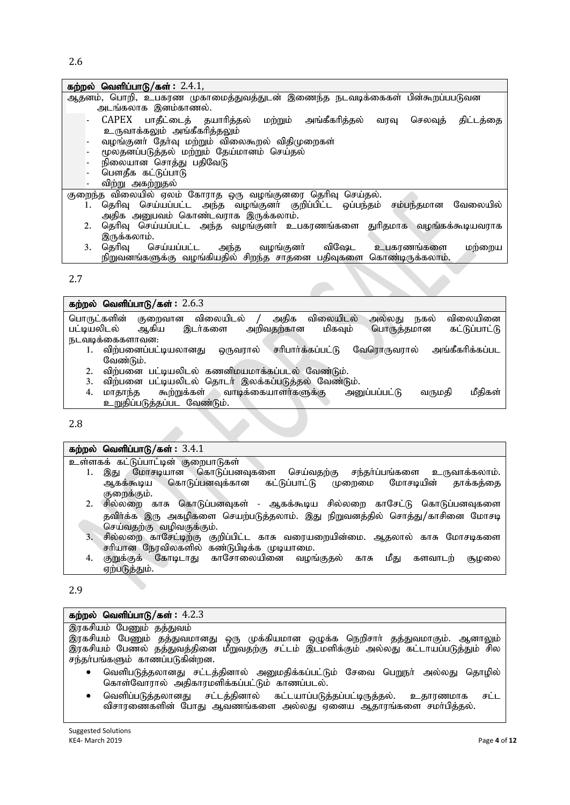#### கற்றல் வெளிப்பாடு/கள்: 2.4.1,

- Mjdk;> nghwp> cgfuz Kfhikj;Jtj;Jld; ,ize;j eltbf;iffs; gpd;\$wg;ggLtd அடங்கலாக இனம்காணல்.
	- $\Delta$ CAPEX பாதீட்டைத் தயாரித்தல் மற்றும் அங்கீகரித்தல் வரவு செலவுத் திட்டத்தை உருவாக்கலும் அங்கீகரித்<u>தலு</u>ம்
	- வழங்குனர் தேர்வு மற்றும் விலைகூறல் விதிமுறைகள்
	- மூலதனப்படுத்தல் மற்றும் தேய்மானம் செய்தல்
	- நிலையான சொத்து பதிவேடு
	- பௌதீக கட்டுப்பாடு
	- விற்று அகற்றுதல்

குறைந்த விலையில் ஏலம் கோராத ஒரு வழங்குனரை தெரிவு செய்தல்.

- 1. தெரிவு செய்யப்பட்ட அந்த வழங்குனா் குறிப்பிட்ட ஒப்பந்தம் சம்பந்தமான வேலையில் ுந்த அனுபவம் கொண்டவராக இருக்கலாம்.
- 2. தெரிவு செய்யப்பட்ட அந்த வழங்குனர் உபகரணங்களை துரிதமாக வழங்கக்கூடியவராக , இருக்கலாம்.<br>3. தெரிவு செய்யப்பட்ட
- அந்த வழங்குனர் விஷேட உபகரணங்களை மற்றைய நிறுவனங்களுக்கு வழங்கியதில் சிறந்த சாதனை பதிவுகளை கொண்டிருக்கலாம்.

2.7

#### **கற்றல் வெளிப்பாடு/கள் : 2.6.3**

பொருட்களின் குறைவான விலையிடல் / அதிக விலையிடல் அல்லது நகல் விலையினை<br>பட்டியலிடல் ஆகிய இடர்களை அறிவதற்கான மிகவும் பொருத்தமான கட்டுப்பாட்டு பொருத்தமான நடவடிக்கைகளாவன:<br>1. விற்பனைப்பட்டியலானது

- ஒருவரால் சரிபார்க்கப்பட்டு வேரொருவரால் அங்கீகரிக்கப்பட வேண்டும்.
- 2. விற்பனை பட்டியலிடல் கணனிமயமாக்கப்படல் வேண்டும்.<br>3. விற்பனை பட்டியலிடல் தொடர் இலக்கப்படுத்தல் வேண்டு
- 
- 3. விற்பனை பட்டியலிடல் தொடர் இலக்கப்படுத்தல் வேண்டும்.<br>4. மாதாந்த கூற்றுக்கள் வாடிக்கையாளர்களுக்கு அனுப்பப்பட்டு  $\dot{a}$ ற்றுக்கள் வாடிக்கையாளர்களுக்கு அனுப்பப்பட்டு வருமதி மீதிகள் உறுதிப்படுக்கப்பட வேண்டும்.

2.8

### **கற்றல் வெளிப்பாடு/கள்: 3.4.1**

உள்ளகக் கட்டுப்பாட்டின் குறைபாடுகள்

- 1. இது மோசடியான கொடுப்பனவுகளை செய்வதற்கு சந்தா்ப்பங்களை உருவாக்கலாம்.<br>ஆகக்கூடிய கொடுப்பனவுக்கான கட்டுப்பாட்டு முறைமை மோசடியின் தாக்கத்தை கொடுப்பனவுக்கான குறைக்கும்.
- 2. சில்லறை காசு கொடுப்பனவுகள் ஆகக்கூடிய சில்லறை காசேட்டு கொடுப்பனவுகளை தவிர்க்க இரு அகழிகளை செயற்படுத்தலாம். இது நிறுவனத்தில் சொத்து/காசினை மோசடி செய்வதற்கு வழிவகுக்கும்.
- 3. சில்லறை காசேட்டிற்கு குறிப்பிட்ட காசு வரையறையின்மை. ஆதலால் காசு மோசடிகளை சரியான நேரவிலகளில் கண்டுபிடிக்க முடியாமை.
- 4. குறுக்குக் கோடிடாது காசோலையினை வழங்குதல் காசு மீது களவாடற் சூழலை ஏற்படுத்தும்.

#### 2.9

#### **கற்றல் வெளிப்பாடு/கள்: 4.2.3**

|           | இரகசியம் பேணும் தத்துவம்                                                               |
|-----------|----------------------------------------------------------------------------------------|
|           | இரகசியம் பேணும் தத்துவமானது ஒரு முக்கியமான ஒழுக்க நெறிசாா் தத்துவமாகும். ஆனாலும்       |
|           | இரகசியம் பேணல் தத்துவத்தினை மீறுவதற்கு சட்டம் இடமளிக்கும் அல்லது கட்டாயப்படுத்தும் சில |
|           | சந்தா்பங்களும் காணப்படுகின்றன.                                                         |
| $\bullet$ | வெளிபடுத்தலானது சட்டத்தினால் அனுமதிக்கப்பட்டும் சேவை பெறுநா் அல்லது தொழில்             |
|           | கொள்வோரால் அதிகாரமளிக்கப்பட்டும் காணப்படல்.                                            |
| $\bullet$ | வெளிப்படுத்தலானது சட்டத்தினால் கட்டயாப்படுத்தப்பட்டிருத்தல். உதாரணமாக<br>சட்ட          |
|           | விசாரணைகளின் போது ஆவணங்களை அல்லது ஏனைய ஆதாரங்களை சமா்பித்தல்.                          |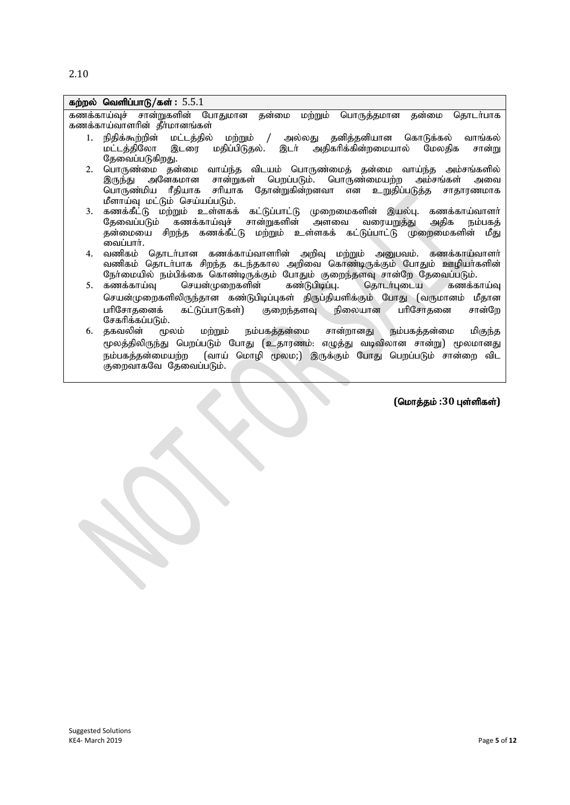2.10

|    | கற்றல் வெளிப்பாடு/கள்: $5.5.1$                                                   |
|----|----------------------------------------------------------------------------------|
|    | கணக்காய்வுச் சான்றுகளின் போதுமான தன்மை மற்றும் பொருத்தமான தன்மை தொடர்பாக         |
|    | கணக்காய்வாளரின் தீர்மானங்கள்                                                     |
| 1. | நிதிக்கூற்றின் மட்டத்தில் மற்றும் / அல்லது தனித்தனியான கொடுக்கல்<br>வாங்கல்      |
|    | மட்டத்திலோ இடரை மதிப்பிடுதல். இடா் அதிகரிக்கின்றமையால் மேலதிக<br>சான்று          |
|    | தேவைப்படுகிறது.                                                                  |
| 2. | பொருண்மை தன்மை வாய்ந்த விடயம் பொருண்மைத் தன்மை வாய்ந்த அம்சங்களில்               |
|    | இருந்து அனேகமான சான்றுகள் பெறப்படும். பொருண்மையற்ற அம்சங்கள்<br>அவை              |
|    | பொருண்மிய ரீதியாக சரியாக தோன்றுகின்றனவா என உறுதிப்படுத்த சாதாரணமாக               |
|    | மீளாய்வு மட்டும் செய்யப்படும்.                                                   |
| 3. | கணக்கீட்டு மற்றும் உள்ளகக் கட்டுப்பாட்டு முறைமைகளின் இயல்பு. கணக்காய்வாளா்       |
|    | தேவைப்படும் கணக்காய்வுச் சான்றுகளின் அளவை வரையறுத்து<br>அதிக<br>நம்பகக்          |
|    | தன்மையை சிறந்த கணக்கீட்டு மற்றும் உள்ளகக் கட்டுப்பாட்டு முறைமைகளின் மீது         |
|    | வைப்பார்.                                                                        |
| 4. | வணிகம் தொடர்பான கணக்காய்வாளரின் அறிவு மற்றும் அனுபவம். கணக்காய்வாளர்             |
|    | வணிகம் தொடா்பாக சிறந்த கடந்தகால அறிவை கொண்டிருக்கும் போதும் ஊழியா்களின்          |
|    | நோ்மையில் நம்பிக்கை கொண்டிருக்கும் போதும் குறைந்தளவு சான்றே தேவைப்படும்.         |
| 5. | கணக்காய்வு<br>செயன்முறைகளின் கண்டுபிடிப்பு. தொடர்புடைய கணக்காய்வு                |
|    | செயன்முறைகளிலிருந்தான கண்டுபிடிப்புகள் திருப்தியளிக்கும் போது (வருமானம் மீதான    |
|    | பரிசோதனைக் கட்டுப்பாடுகள்) குறைந்தளவு நிலையான பரிசோதனை<br>சான்றே                 |
|    | சேகரிக்கப்படும்.                                                                 |
| 6. | தகவலின் மூலம் மற்றும் நம்பகத்தன்மை சான்றானது நம்பகத்தன்மை<br>மிகுந்த             |
|    | மூலத்திலிருந்து பெறப்படும் போது (உதாரணம்: எழுத்து வடிவிலான சான்று) மூலமானது      |
|    | நம்பகத்தன்மையற்ற   (வாய்  மொழி  மூலம;)  இருக்கும்  போது  பெறப்படும்  சான்றை  விட |
|    | குறைவாகவே தேவைப்படும்.                                                           |
|    |                                                                                  |
|    |                                                                                  |
|    | (மொத்தம் :30 புள்ளிகள்)                                                          |
|    |                                                                                  |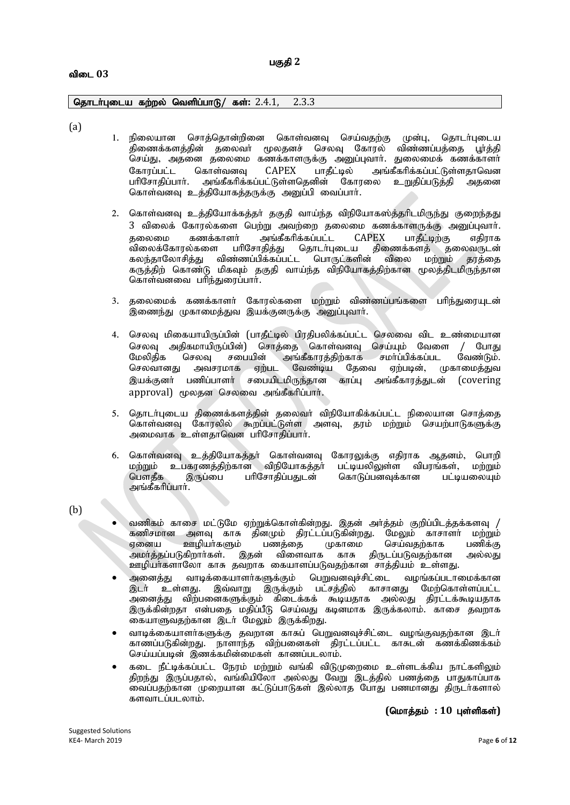#### விடை 03

#### தொடர்புடைய கற்றல் வெளிப்பாடு/ கள்: 2.4.1, 2.3.3

(a)

- 1. நிலையான சொத்தொன்றினை கொள்வனவு செய்வதற்கு முன்பு, தொடர்புடைய .திணைக்களத்தின் தலைவர் முலதனச் செலவு கோரல் விண்ணப்பத்தை பூர்த்தி செய்து, அதனை தலைமை கணக்காளருக்கு அனுப்புவார். துலைமைக் கணக்காளர்<br>கோரப்பட்ட கொள்வனவு CAPEX பாகீட்டில் அங்கீகரிக்கப்பட்டுள்ளதாவென கோரப்பட்ட கொள்வனவு CAPEX பாதீட்டில் அங்கீகரிக்கப்பட்டுள்ளதாவென<br>பரிசோதிப்பார். அங்கீகரிக்கப்பட்டுள்ளதெனின் கோரலை உறுதிப்படுத்தி அதனை அங்கீகரிக்கப்பட்டுள்ளதெனின் கோரலை கொள்வனவு உத்தியோகத்தருக்கு அனுப்பி வைப்பார்.
- 2. கொள்வனவு உத்தியோக்கத்தா் தகுதி வாய்ந்த விநியோகஸ்த்தாிடமிருந்து குறைந்தது 3 விலைக் கோரல்களை பெற்று அவற்றை தலைமை கணக்காளருக்கு அனுப்புவார்.<br>கலைமை கணக்காளர் அங்கீகரிக்கப்பட்ட CAPEX பாகீட்டிற்கு எகிராக தலைமை கணக்காளர் அங்கீகரிக்கப்பட்ட CAPEX பாதீட்டிற்கு எதிராக<br>விலைக்கோரல்களை பரிசோதித்து தொடர்புடைய திணைக்களத் தலைவருடன் .<br>விலைக்கோரல்களை பரிசோதித்து தொடர்புடைய திணைக்களத் தலைவருடன்<br>கலந்தாலோசித்து விண்ணப்பிக்கப்பட்ட பொருட்களின் விலை மற்றும் தரத்தை கலந்தாலோசித்து விண்ணப்பிக்கப்பட்ட பொருட்களின் கருத்திற் கொண்டு மிகவும் தகுதி வாய்ந்த விநியோகத்திற்கான மூலத்திடமிருந்தான கொள்வனவை பரிந்துரைப்பார்.
- 3. தலைமைக் கணக்காளர் கோரல்களை மற்றும் விண்ணப்பங்களை பரிந்துரையுடன் .<br>இணைந்து முகாமைத்துவ இயக்குனருக்கு அனுப்புவார்.
- 4. செலவு மிகையாயிருப்பின் (பாதீட்டில் பிரதிபலிக்கப்பட்ட செலவை விட உண்மையான செலவு அதிகமாயிருப்பின்) சொத்தை கொள்வனவு செய்யும் வேளை / போது<br>மேலிதிக செலவு சபையின் அங்கீகாரத்திற்காக சமா்ப்பிக்கப்பட வேண்டும். பின் அங்கீகாரத்திற்காக சமாப்பிக்கப்பட வேண்டும்.<br>- ஏற்பட வேண்டிய தேவை ஏற்படின், முகாமைத்துவ செலவானது அவசரமாக இயக்குனா் பணிப்பாளா் சபையிடமிருந்தான காப்பு அங்கீகாரத்துடன் (covering approval) மூலதன செலவை அங்கீகரிப்பார்.
- 5. தொடர்புடைய திணைக்களத்தின் தலைவர் விநியோகிக்கப்பட்ட நிலையான சொத்தை கொள்வனவு கோரலில் கூறப்பட்டுள்ள அளவு, தரம் மற்றும் செயற்பாடுகளுக்கு அமைவாக உள்ளதாவென பரிசோதிப்பார்.
- 6. கொள்வனவு உத்தியோகத்தா் கொள்வனவு கோரலுக்கு எதிராக ஆதனம், பொறி மற்றும் உபகரணத்திற்கான விநியோகத்தா் பட்டியலிலுள்ள விபரங்கள், மற்றும்<br>பௌதீக இருப்பை பாிசோதிப்பதுடன் கொடுப்பனவுக்கான பட்டியலையும் கொடுப்பனவுக்கான அங்கீகரிப்பார்.

(b)

- வணிகம் காசை மட்டுமே ஏற்றுக்கொள்கின்றது. இதன் அர்த்தம் குறிப்பிடத்தக்களவு /<br>கணிசமான அளவு காசு தினமும் திரட்டப்படுகின்றது. மேலும் காசாளர் மற்றும் கணிசமான அளவு காசு தினமும் திரட்டப்படுகின்றது. மேலும் காசாளா் மற்றும்<br>ஏனைய ஊமியா்களும் பணக்கை முகாமை செய்வகற்காக பணிக்கு பணத்தை முகாமை செய்வதற்காக பணிக்கு<br>i விளைவாக காசு திருடப்படுவதற்கான அல்லது அமா்த்தப்படுகிறாா்கள். இதன் ஊழியா்களாலோ காசு தவறாக கையாளப்படுவதற்கான சாத்தியம் உள்ளது.
- $\bullet$  அனைத்து வாடிக்கையாளர்களுக்கும் பெறுவனவுச்சிட்டை வழங்கப்படாமைக்கான இடர் உள்ளது. இவ்வாறு இருக்கும் பட்சத்தில் காசானது மேற்கொள்ளப்பட்ட அனைத்து விற்பனைகளுக்கும் கிடைக்கக் கூடியதாக அல்லது திரட்டக்கூடியதாக இருக்கின்றதா என்பதை மதிப்பீடு செய்வது கடினமாக இருக்கலாம். காசை தவறாக கையாளுவதற்கான இடர் மேலும் இருக்கிறது.
- வாடிக்கையாளர்களுக்கு தவறான காசுப் பெறுவனவுச்சிட்டை வழங்குவதற்கான இடர் காணப்படுகின்றது. நாளாந்த விற்பனைகள் திரட்டப்பட்ட காசுடன் கணக்கிணக்கம் செய்யப்படின் இணக்கமின்மைகள் காணப்படலாம்.
- கடை நீட்டிக்கப்பட்ட நேரம் மற்றும் வங்கி விடுமுறைமை உள்ளடக்கிய நாட்களிலும் திறந்து இருப்பதால், வங்கியிலோ அல்லது வேறு இடத்தில் பணத்தை பாதுகாப்பாக வைப்பதற்கான முறையான கட்டுப்பாடுகள் இல்லாத போது பணமானது திருடர்களால் களவாடப்படலாம்.

 $($ மொத்தம் : 10 புள்ளிகள்)

Suggested Solutions<br>KE4- March 2019 KE4- March 2019 Page **6** of **12**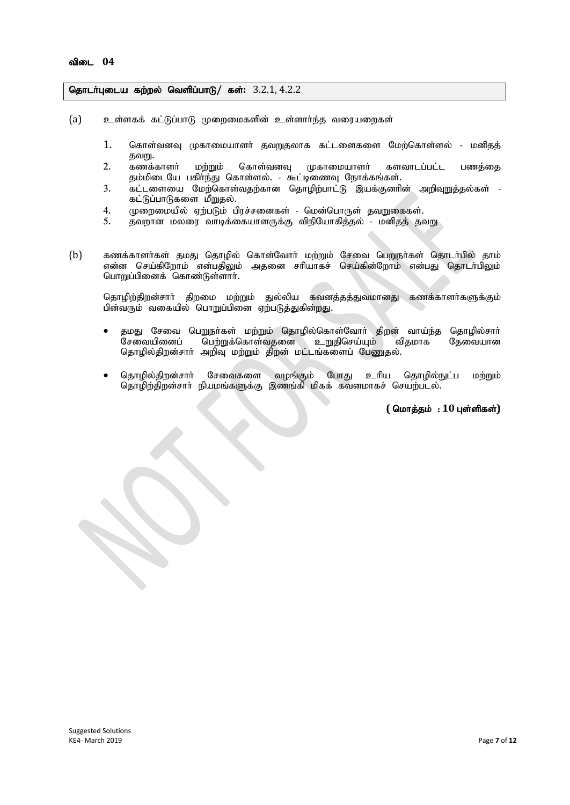#### தொடர்புடைய கற்றல் வெளிப்பாடு/ கள்:  $3.2.1, 4.2.2$

- $(a)$  உள்ளகக் கட்டுப்பாடு முறைமைகளின் உள்ளார்ந்த வரையறைகள்
	- 1. கொள்வனவு முகாமையாளர் தவறுதலாக கட்டளைகளை மேற்கொள்ளல் மனிதத் தவறு.<br>கணக்காளர்
	- 2. கணக்காளர் மற்றும் கொள்வனவு முகாமையாளர் களவாடப்பட்ட பணத்தை தம்மிடையே பகிா்ந்து கொள்ளல். - கூட்டிணைவு நோக்கங்கள்.
	- 3. கட்டளையை மேற்கொள்வதற்கான தொழிற்பாட்டு இயக்குனரின் அறிவுறுத்தல்கள் -கட்டுப்பாடுகளை மீறுதல்.
	- 4. முறைமையில் ஏற்படும் பிரச்சனைகள் மென்பொருள் தவறுகைகள்.<br>5. கவறான மலரை வாடிக்கையாளருக்கு விநியோகிக்கல் மனிகக் கூ
	- தவறான மலரை வாடிக்கையாளருக்கு விநியோகித்தல் மனிதத் தவறு
- (b) கணக்காளர்கள் தமது தொழில் கொள்வோர் மற்றும் சேவை பெறுநர்கள் தொடர்பில் தாம் என்ன செய்கிறோம் என்பதிலும் அதனை சரியாகச் செய்கின்றோம் என்பது தொடர்பிலும் பொறுப்பினைக் கொண்டுள்ளார்.

தொழிற்திறன்சார் திறமை மற்றும் துல்லிய கவனத்தத்துவமானது கணக்காளர்களுக்கும் பின்வரும் வகையில் பொறுப்பினை ஏற்படுத்துகின்றது.

- ் தமது சேவை பெறுநா்கள் மற்றும் தொழில்கொள்வோா் திறன் வாய்ந்த தொழில்சாா்<br>சேவையினைப் பெற்றுக்கொள்வதனை உறுதிசெய்யும் விதமாக தேவையான பெற்றுக்கொள்வதனை உறுதிசெய்யும் தொழில்திறன்சார் அறிவு மற்றும் திறன் மட்டங்களைப் பேணுதல்.
- தொழில்திறன்சாா் சேவைகளை வழங்கும் போது உாிய தொழில்நுட்ப மற்றும் தொழிற்திறன்சாா் நியமங்களுக்கு இணங்கி மிகக் கவனமாகச் செயற்படல்.

 $($  மொத்தம் : 10 புள்ளிகள்)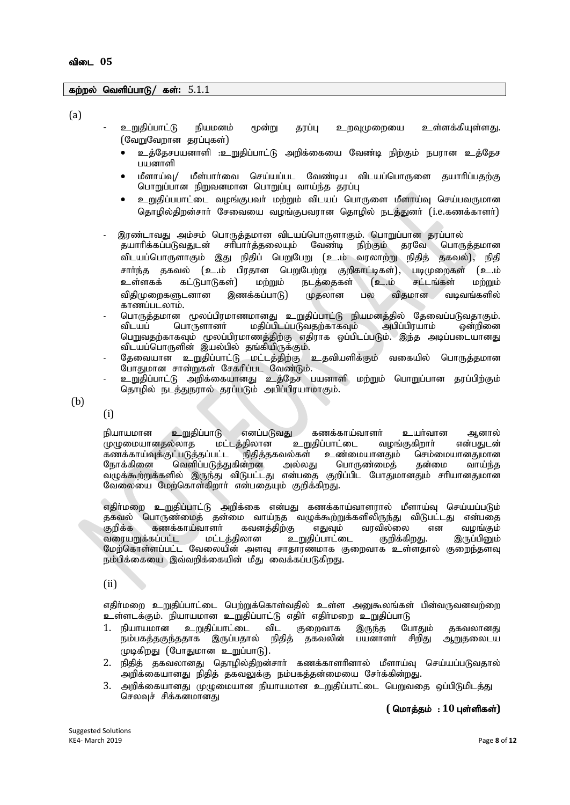#### கற்றல் வெளிப்பாடு/ கள்: 5.1.1

(a)

- உறுதிப்பாட்டு நியமனம் மூன்று தரப்பு உறவுமுறையை உள்ளக்கியுள்ளது. (வேறுவேறான தரப்புகள்)
	- உக்கேசபயனாளி :உறுகிப்பாட்டு அறிக்கையை வேண்டி நிற்கும் நபாரன உக்கேச பயனாளி
	- மீளாய்வ/ மீள்பார்வை செய்யப்பட வேண்டிய விடயப்பொருளை கயாரிப்பகற்கு பொறுப்பான நிறுவனமான பொறுப்பு வாய்ந்த தரப்பு
	- உறுதிப்பபாட்டை வழங்குபவா் மற்றும் விடயப் பொருளை மீளாய்வு செய்பவருமான தொழில்திறன்சார் சேவையை வழங்குபவரான தொழில் நடத்துனர் (i.e.கணக்காளர்)
- இரண்டாவது அம்சம் பொருத்தமான விடயப்பொருளாகும். பொறுப்பான தரப்பால்<br>- தயாரிக்கப்படுவதுடன் சரிபார்த்தலையும் வேண்டி நிற்கும் தரவே பொருத்தமான ு,<br>தயாரிக்கப்படுவதுடன் சரிபார்த்தலையும் வேண்டி விடயப்பொருளாகும் இது நிதிப் பெறுபேறு (உ.ம் வரலாற்று நிதித் தகவல்), நிதி சார்ந்த தகவல் (உ.ம் பிரதான பெறுபேற்று குறிகாட்டிகள்), படிமுறைகள் (உ.ம்<br>உள்ளகக் கட்டுபாடுகள்) மற்றும் நடத்தைகள் (உ.ம் சட்டங்கள் மற்றும் உள்ளகக் கட்டுபாடுகள்) மற்றும் நடத்தைகள் (உ.ம் சட்டங்கள் மற்றும் விதிமுறைகளுடனான இணக்கப்பாடு) முதலான பல விதமான வடிவங்களில் காணப்படலாம்.
- பொருத்தமான மூலப்பிரமாணமானது உறுதிப்பாட்டு நியமனத்தில் தேவைப்படுவதாகும்.<br>விடயப் பொருளானா் மதிப்பிடப்படுவதற்காகவும் அபிப்பிரயாம் ஒன்றினை  $f$ மதிப்பிடப்படுவதற்காகவும் அபிப்பிரயாம் பெறுவதற்காகவும் மூலப்பிரமாணத்திற்கு எதிராக ஒப்பிடப்படும். இந்த அடிப்படையானது விடயப்பொருளின் இயல்பில் தங்கியிருக்கும்.
- தேவையான உறுதிப்பாட்டு மட்டத்திற்கு உதவியளிக்கும் வகையில் பொருத்தமான போதுமான சான்றுகள் சேகரிப்பட வேண்டும்.
- உறுதிப்பாட்டு அறிக்கையானது உத்தேச பயனாளி மற்றும் பொறுப்பான தரப்பிற்கும் தொழில் நடத்துநரால் தரப்படும் அபிப்பிரயாமாகும்.

(b)

(i)

நியாயமான உறுதிப்பாடு எனப்படுவது கணக்காய்வாளர் உயர்வான ஆனால்<br>முழுமையானதல்லாத மட்டத்திலான உறுதிப்பாட்டை வழங்குகிறார் என்பதுடன் .<br>முழுமையானதல்லாத மட்டத்திலான உறுதிப்பாட்டை வழங்குகிறாா் என்பதுடன்<br>கணக்காய்வுக்குட்படுத்தப்பட்ட நிதித்தகவல்கள் உண்மையானதும் செம்மையானதுமான ்கணக்காய்வுக்குட்படுத்தப்பட்ட நிதித்தகவல்கள் உண்மையானதும் செம்மையானதுமான<br>நோக்கினை வெளிப்படுத்துகின்றன அல்லது பொருண்மைத் தன்மை வாய்ந்த வெளிப்படுத்துகின்றன வழுக்கூற்றுக்களில் இருந்து விடுபட்டது என்பதை குறிப்பிட போதுமானதும் சரியானதுமான வேலையை மேற்கொள்கிறார் என்பதையும் குறிக்கிறது.

எதிா்மறை உறுதிப்பாட்டு அறிக்கை என்பது கணக்காய்வாளரால் மீளாய்வு செய்யப்படும் தகவல் பொருண்மைத் தன்மை வாய்நத வழுக்கூற்றுக்களிலிருந்து விடுபட்டது என்பதை<br>குறிக்க கணக்காய்வாளர் கவனத்திற்கு எதுவும் வரவில்லை என வழங்கும் கணக்காய்வாளா் கவனத்திற்கு எதுவும் வரவில்லை என வழங்கும்<br>கப்பட்ட மட்டத்திலான உறுதிப்பாட்டை குறிக்கிறது. இருப்பினும் வரையறுக்கப்பட்ட மேற்கொள்ளப்பட்ட வேலையின் அளவு சாதாரணமாக குறைவாக உள்ளதால் குறைந்தளவு நம்பிக்கையை இவ்வறிக்கையின் மீது வைக்கப்படுகிறது.

(ii)

எதிா்மறை உறுதிப்பாட்டை பெற்றுக்கொள்வதில் உள்ள அனுகூலங்கள் பின்வருவனவற்றை உள்ளடக்கும். நியாயமான உறுதிப்பாட்டு எதிர் எதிர்மறை உறுதிப்பாடு

- 1. நியாயமான உறுதிப்பாட்டை விட குறைவாக இருந்த போதும் தகவலானது<br>நம்பகத்தகுந்ததாக இருப்பதால் நிதித் தகவலின் பயனாளா் சிறிது ஆறுதலைடய நம்பகத்தகுந்ததாக இருப்பதால் நிதித் தகவலின் பயனாளா் சிறிது ஆறுதலைடய  $(\mathfrak{p}\mathfrak{p}\mathfrak{s})$ றது (போதுமான உறுப்பாடு).
- 2. நிதித் தகவலானது தொழில்திறன்சார் கணக்காளரினால் மீளாய்வு செய்யப்படுவதால் அறிக்கையானது நிதித் தகவலுக்கு நம்பகத்தன்மையை சோக்கின்றது.
- 3. அறிக்கையானது முழுமையான நியாயமான உறுதிப்பாட்டை பெறுவதை ஒப்பிடுமிடத்து செலவுச் சிக்கனமானது

 $($  மொத்தம் : 10 புள்ளிகள்)

Suggested Solutions<br>KE4- March 2019 KE4- March 2019 Page **8** of **12**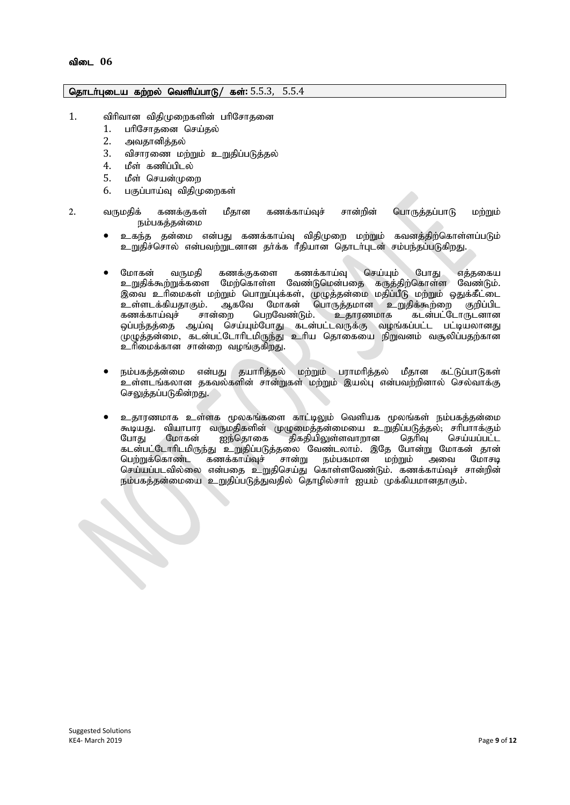### தொடர்புடைய கற்றல் வெளிய்பாடு/ கள்: 5.5.3, 5.5.4

- 1. விரிவான விதிமுறைகளின் பரிசோதனை
	- 1. பரிசோகனை செய்கல்
	- 2. அவதானித்தல்
	- 3. விசாரணை மற்றும் உறுதிப்படுத்தல்
	- 4. மீள் கணிப்பிடல்
	- 5. மீள் செயன்முறை
	- $6.$  பகுப்பாய்வ விகிமுறைகள்
- 2. வருமதிக் கணக்குகள் மீதான கணக்காய்வுச் சான்றின் பொருத்தப்பாடு மற்றும் நம்பகத்தன்மை
	- $\bullet$  உகந்த தன்மை என்பது கணக்காய்வு விதிமுறை மற்றும் கவனத்திற்கொள்ளப்படும் உறுதிச்சொல் என்பவற்றுடனான தா்க்க ரீதியான தொடா்புடன் சம்பந்தப்படுகிறது.
	- மோகன் வருமதி கணக்குகளை கணக்காய்வு செய்யும் போது எத்தகைய உறுதிக்கூற்றுக்களை மேற்கொள்ள வேண்டுமென்பதை கருத்திற்கொள்ள வேண்டும். .<br>இவை உரிமைகள் மற்றும் பொறுப்புக்கள், முழுத்தன்மை மதிப்பீடு மற்றும் ஒதுக்கீட்டை<br>உள்ளடக்கியதாகும். ஆகவே மோகன் பொருத்தமான உறுதிக்கூற்றை குறிப்பிட உள்ளடக்கியதாகும். ஆகவே மோகன் பொருத்தமான உறுதிக்கூற்றை குறிப்பிட<br>கணக்காய்வுச் சான்றை பெறவேண்டும். உதாரணமாக கடன்பட்டோருடனான கணக்காய்வுச் சான்றை பெறவேண்டும். உதாரணமாக கடன்பட்டோருடனான ஒப்பந்தத்தை ஆய்வு செய்யும்போது கடன்பட்டவருக்கு வழங்கப்பட்ட பட்டியலானது (முழுத்தன்மை, கடன்பட்டோரிடமிருந்து உரிய தொகையை நிறுவனம் வசூலிப்பதற்கான உரிமைக்கான சான்றை வழங்குகிறது.
	- நம்பகத்தன்மை என்பது தயாரித்தல் மற்றும் பராமரித்தல் மீதான கட்டுப்பாடுகள் .<br>உள்ளடங்கலான தகவல்களின் சான்றுகள் மற்றும் இயல்பு என்பவற்றினால் செல்வாக்கு செலுத்தப்படுகின்றது.
	- உதாரணமாக உள்ளக மூலகங்களை காட்டிலும் வெளியக மூலங்கள் நம்பகத்தன்மை கூடியது. வியாபார வருமதிகளின் முழுமைத்தன்மையை உறுதிப்படுத்தல், சரிபாாக்கும் போது மோகன் ஐந்தொகை திகதியிலுள்ளவாறான தெரிவு செய்யப்பட்ட கடன்பட்டோரிடமிருந்து உறுதிப்படுத்தலை வேண்டலாம். இதே போன்று மோகன் தான் பெற்றுக்கொண்ட கணக்காய்வுச் சான்று நம்பகமான மற்றும் அவை மோசடி செய்யப்படவில்லை என்பதை உறுதிசெய்து கொள்ளவேண்டும். கணக்காய்வுச் சான்றின் நம்பகத்தன்மையை உறுதிப்படுத்துவதில் தொழில்சாா் ஐயம் முக்கியமானதாகும்.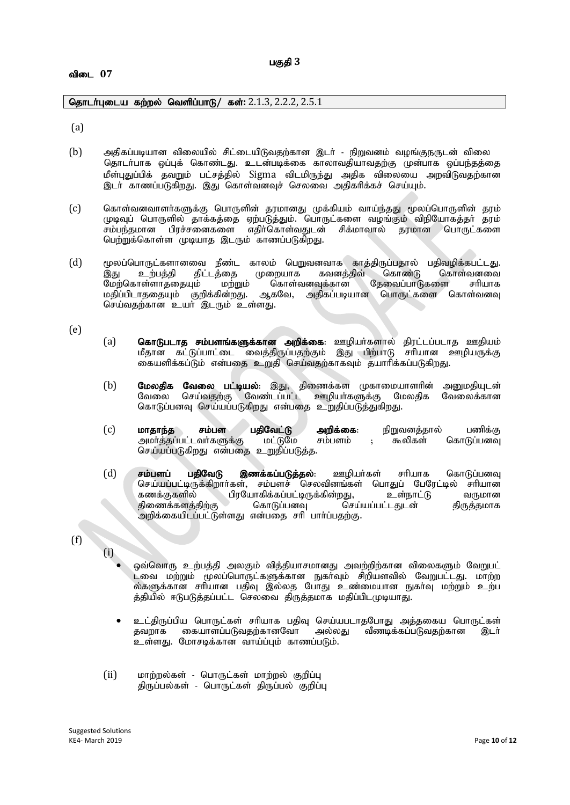#### விடை 07

தொடர்புடைய கற்றல் வெளிப்பாடு/ கள்: 2.1.3, 2.2.2, 2.5.1

(a)

- (b) mjpfg;gbahd tpiyapy; rpl;ilapLtjw;fhd ,lh; epWtdk; toq;FeUld; tpiy தொடா்பாக ஒப்புக் கொண்டது. உடன்படிக்கை காலாவதியாவதற்கு முன்பாக ஒப்பந்தத்தை மீள்புதுப்பிக் தவறும் பட்சத்தில் Sigma விடமிருந்து அதிக விலையை அறவிடுவதற்கான இடர் காணப்படுகிறது. இது கொள்வனவுச் செலவை அதிகரிக்கச் செய்யும்.
- (c) கொள்வனவாளா்களுக்கு பொருளின் தரமானது முக்கியம் வாய்ந்தது மூலப்பொருளின் தரம் முடிவுப் பொருளில் தாக்கத்தை ஏற்படுத்தும். பொருட்களை வழங்கும் விநியோகத்தா தரம் சம்பந்தமான பிரச்சனைகளை எதிர்கொள்வதுடன் சிக்மாவால் தரமான பொருட்களை பெற்றுக்கொள்ள முடியாத இடரும் காணப்படுகிறது.
- (d) மூலப்பொருட்களானவை நீண்ட காலம் பெறுவனவாக காத்திருப்பதால் பதிவழிக்கபட்டது.<br>இது உற்பத்தி திட்டத்தை முறையாக கவனத்திவ் கொண்டு கொள்வனவை இது உற்பத்தி திட்டத்தை முறையாக கவனத்திவ் கொண்டு கொள்வனவை<br>மேற்கொள்ளாததையும் மற்றும் கொள்வனவுக்கான தேவைப்பாடுகளை சரியாக மேற்கொள்ளாததையும் மற்றும் மதிப்பிடாததையும் குறிக்கின்றது. ஆகவே, அதிகப்படியான பொருட்களை கொள்வனவு செய்வதற்கான உயர் இடரும் உள்ளது.

(e)

- (a) **கொடுபடாத சம்பளங்களுக்கான அறிக்கை**: ஊழியா்களால் திரட்டப்படாத ஊதியம் மீதான் கட்டுப்பாட்டை வைத்திருப்பதற்கும் இது பிற்பாடு சரியான ஊழியருக்கு கையளிக்கப்டும் என்பதை உறுதி செய்வதற்காகவும் தயாரிக்கப்படுகிறது.
- (b) **மேலதிக வேலை பட்டியல்**: இது, திணைக்கள முகாமையாளரின் அனுமதியுடன்<br>வேலை செய்வதற்கு வேண்டப்பட்ட ஊழியர்களுக்கு மேலதிக வேலைக்கான வேலை செய்வதற்கு வேண்டப்பட்ட ஊழியா்களுக்கு மேலதிக கொடுப்பனவு செய்யப்படுகிறது என்பதை உறுதிப்படுத்துகிறது.
- (c) **மாதாந்த சம்பள பதிவேட்டு அறிக்கை**: நிறுவனத்தால் பணிக்கு<br>அமா்த்தப்பட்டவா்களுக்கு மட்டுமே சம்பளம் : கூலிகள் கொடுப்பனவு அமா்த்தப்பட்டவா்களுக்கு செய்யப்படுகிறது என்பதை உறுதிப்படுத்த.
- $(d)$  சம்பளப் பதிவேடு இணக்கப்படுத்தல்: ஊழியர்கள் சரியாக கொடுப்பனவு செய்யப்பட்டிருக்கிறார்கள், சம்பளச் செலவினங்கள் பொதுப் பேரேட்டில் சரியான<br>கணக்குகளில் பிரயோகிக்கப்பட்டிருக்கின்றது, உள்நாட்டு வருமான fzf;Ffspy; gpuNahfpf;fg;gl;bUf;fpd;wJ> cs;ehl;L tUkhd திணைக்களத்திற்கு அறிக்கையிடப்பட்டுள்ளது என்பதை சரி பார்ப்பதற்கு.
- (f)
- (i) ஒவ்வொரு உற்பத்தி அலகும் வித்தியாசமானது அவற்றிற்கான விலைகளும் வேறுபட் ட்வை மற்றும் மூலப்பொருட்களுக்கான நுகாவும் சிறியளவில் வேறுபட்டது. மாற்ற ல்களுக்கான சரியான பதிவு இல்லத போது உண்மையான நுகா்வு மற்றும் உற்ப த்தியில் ஈடுபடுத்தப்பட்ட செலவை திருத்தமாக மதிப்பிடமுடியாது.
	- e உட்திருப்பிய பொருட்கள் சரியாக பதிவு செய்யபடாதபோது அத்தகைய பொருட்கள்<br>தவறாக கையாளப்படுவதற்கானவோ அல்லது வீணடிக்கப்படுவதற்கான இடர் கையாளப்படுவதற்கானவோ உள்ளது. மோசடிக்கான வாய்ப்பும் காணப்படும்.
- $(ii)$  மாற்றல்கள் பொருட்கள் மாற்றல் குறிப்பு திருப்பல்கள் - பொருட்கள் திருப்பல் குறிப்பு

Suggested Solutions<br>KE4- March 2019 KE4- March 2019 Page **10** of **12**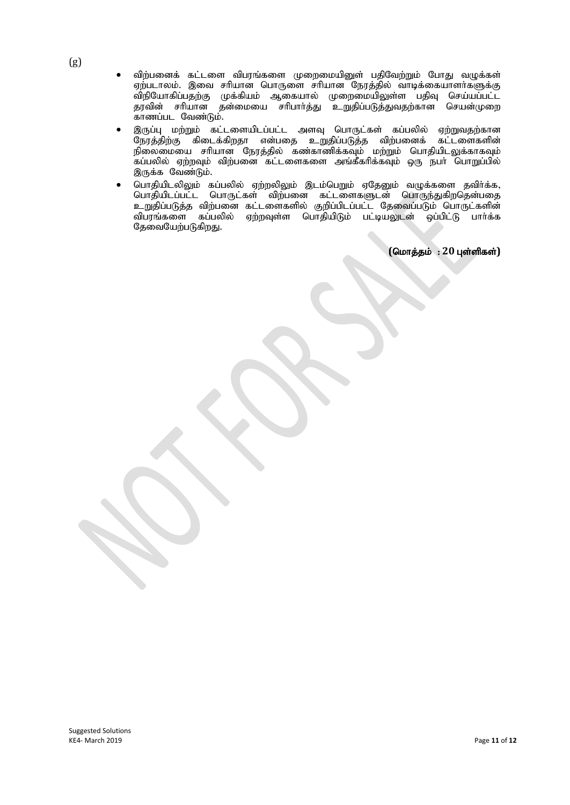- விற்பனைக் கட்டளை விபரங்களை முறைமையினுள் பதிவேற்றும் போது வழுக்கள் ஏற்படாலம். இவை சரியான பொருளை சரியான நேரத்தில் வாடிக்கையாளர்களுக்கு விநியோகிப்பதற்கு முக்கியம் ஆகையால் முறைமையிலுள்ள பதிவு செய்யப்பட்ட தரவின் சரியான தன்மையை சரிபார்த்து உறுதிப்படுத்துவதற்கான செயன்முறை .<br>காணப்பட வேண்டும்.
- இருப்பு மற்றும் கட்டளையிடப்பட்ட அளவு பொருட்கள் கப்பலில் ஏற்றுவதற்கான நேரத்திற்கு கிடைக்கிறதா என்பதை உறுதிப்படுத்த விற்பனைக் கட்டளைகளின் நிலைமையை சரியான நேரத்தில் கண்காணிக்கவும் மற்றும் பொதியிடலுக்காகவும் கப்பலில் ஏற்றவும் விற்பனை கட்டளைகளை அங்கீகரிக்கவும் ஒரு நபர் பொறுப்பில் இருக்க வேண்டும்.
- பொதியிடலிலும் கப்பலில் ஏற்றலிலும் இடம்பெறும் ஏதேனும் வழுக்களை தவிர்க்க, பொதியிடப்பட்ட பொருட்கள் விற்பனை கட்டளைகளுடன் பொருந்துகிறதென்பதை உறுதிப்படுத்த விற்பனை கட்டளைகளில் குறிப்பிடப்பட்ட தேவைப்படும் பொருட்களின் விபரங்களை கப்பலில் ஏற்றவுள்ள பொதியிடும் பட்டியலுடன் ஒப்பிட்டு பார்க்க தேவையேற்படுகிறது.

 $(Gurāsab : 20 1$ ள்ளிகள்)